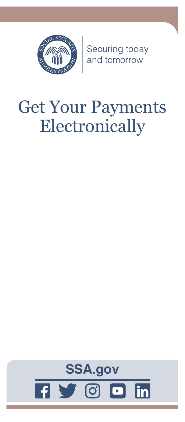

Securing today<br>and tomorrow

# Get Your Payments Electronically

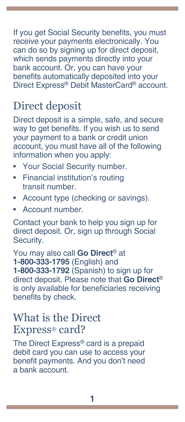If you get Social Security benefits, you must receive your payments electronically. You can do so by signing up for direct deposit, which sends payments directly into your bank account. Or, you can have your benefits automatically deposited into your Direct Express® Debit MasterCard® account.

## Direct deposit

Direct deposit is a simple, safe, and secure way to get benefits. If you wish us to send your payment to a bank or credit union account, you must have all of the following information when you apply:

- Your Social Security number.
- Financial institution's routing transit number.
- Account type (checking or savings).
- Account number.

Contact your bank to help you sign up for direct deposit. Or, sign up through Social Security.

You may also call **Go Direct**® at **1-800-333-1795** (English) and **1-800-333-1792** (Spanish) to sign up for direct deposit. Please note that **Go Direct**® is only available for beneficiaries receiving benefits by check.

#### What is the Direct Express® card?

The Direct Express® card is a prepaid debit card you can use to access your benefit payments. And you don't need a bank account.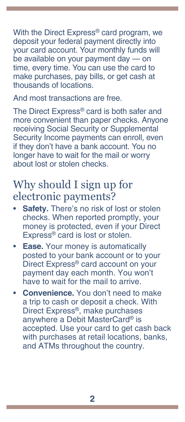With the Direct Express<sup>®</sup> card program, we deposit your federal payment directly into your card account. Your monthly funds will be available on your payment day — on time, every time. You can use the card to make purchases, pay bills, or get cash at thousands of locations.

And most transactions are free.

The Direct Express® card is both safer and more convenient than paper checks. Anyone receiving Social Security or Supplemental Security Income payments can enroll, even if they don't have a bank account. You no longer have to wait for the mail or worry about lost or stolen checks.

## Why should I sign up for electronic payments?

- **Safety.** There's no risk of lost or stolen checks. When reported promptly, your money is protected, even if your Direct Express® card is lost or stolen.
- **Ease.** Your money is automatically posted to your bank account or to your Direct Express<sup>®</sup> card account on your payment day each month. You won't have to wait for the mail to arrive.
- **Convenience.** You don't need to make a trip to cash or deposit a check. With Direct Express®, make purchases anywhere a Debit MasterCard® is accepted. Use your card to get cash back with purchases at retail locations, banks, and ATMs throughout the country.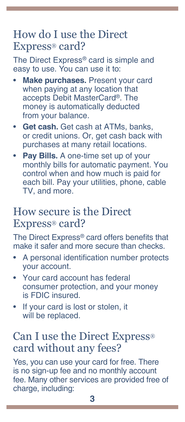## How do I use the Direct Express® card?

The Direct Express® card is simple and easy to use. You can use it to:

- **Make purchases.** Present your card when paying at any location that accepts Debit MasterCard®. The money is automatically deducted from your balance.
- **Get cash.** Get cash at ATMs, banks, or credit unions. Or, get cash back with purchases at many retail locations.
- **Pay Bills.** A one-time set up of your monthly bills for automatic payment. You control when and how much is paid for each bill. Pay your utilities, phone, cable TV, and more.

#### How secure is the Direct Express® card?

The Direct Express® card offers benefits that make it safer and more secure than checks.

- A personal identification number protects your account.
- Your card account has federal consumer protection, and your money is FDIC insured.
- If your card is lost or stolen, it will be replaced.

#### Can I use the Direct Express® card without any fees?

Yes, you can use your card for free. There is no sign-up fee and no monthly account fee. Many other services are provided free of charge, including: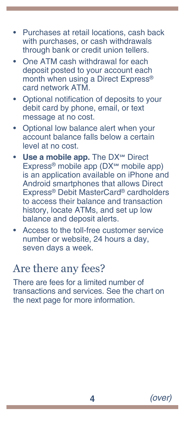- Purchases at retail locations, cash back with purchases, or cash withdrawals through bank or credit union tellers.
- One ATM cash withdrawal for each deposit posted to your account each month when using a Direct Express® card network ATM.
- Optional notification of deposits to your debit card by phone, email, or text message at no cost.
- Optional low balance alert when your account balance falls below a certain level at no cost.
- **Use a mobile app.** The DX<sup>5M</sup> Direct Express® mobile app (DX℠ mobile app) is an application available on iPhone and Android smartphones that allows Direct Express® Debit MasterCard® cardholders to access their balance and transaction history, locate ATMs, and set up low balance and deposit alerts.
- Access to the toll-free customer service number or website, 24 hours a day, seven days a week.

#### Are there any fees?

There are fees for a limited number of transactions and services. See the chart on the next page for more information.

**4** *(over)*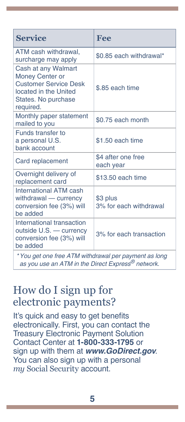| <b>Service</b>                                                                                                                                        | Fee                                |
|-------------------------------------------------------------------------------------------------------------------------------------------------------|------------------------------------|
| ATM cash withdrawal,<br>surcharge may apply                                                                                                           | \$0.85 each withdrawal*            |
| Cash at any Walmart<br>Money Center or<br><b>Customer Service Desk</b><br>located in the United<br>States. No purchase<br>required.                   | \$.85 each time                    |
| Monthly paper statement<br>mailed to you                                                                                                              | \$0.75 each month                  |
| Funds transfer to<br>a personal U.S.<br>bank account                                                                                                  | \$1.50 each time                   |
| Card replacement                                                                                                                                      | \$4 after one free<br>each year    |
| Overnight delivery of<br>replacement card                                                                                                             | \$13.50 each time                  |
| International ATM cash<br>withdrawal - currency<br>conversion fee (3%) will<br>be added                                                               | \$3 plus<br>3% for each withdrawal |
| International transaction<br>outside U.S. - currency<br>conversion fee (3%) will<br>be added<br>* You ant ang frog ATM withdrowal par payment as long | 3% for each transaction            |

*\* You get one free ATM withdrawal per payment as long as you use an ATM in the Direct Express® network.*

## How do I sign up for electronic payments?

It's quick and easy to get benefits electronically. First, you can contact the Treasury Electronic Payment Solution Contact Center at **1-800-333-1795** or sign up with them at *[www.GoDirect.gov](http://www.GoDirect.gov)*. You can also sign up with a personal *my* Social Security account.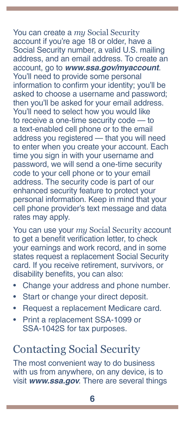You can create a *my* [Social Security](https://www.ssa.gov/myaccount) [account](https://www.ssa.gov/myaccount) if you're age 18 or older, have a Social Security number, a valid U.S. mailing address, and an email address. To create an account, go to *[www.ssa.gov/myaccount](https://www.ssa.gov/myaccount)*. You'll need to provide some personal information to confirm your identity; you'll be asked to choose a username and password; then you'll be asked for your email address. You'll need to select how you would like to receive a one-time security code — to a text-enabled cell phone or to the email address you registered — that you will need to enter when you create your account. Each time you sign in with your username and password, we will send a one-time security code to your cell phone or to your email address. The security code is part of our enhanced security feature to protect your personal information. Keep in mind that your cell phone provider's text message and data rates may apply.

You can use your *my* Social Security account to get a benefit verification letter, to check your earnings and work record, and in some states request a replacement Social Security card. If you receive retirement, survivors, or disability benefits, you can also:

- Change your address and phone number.
- Start or change your direct deposit.
- Request a replacement Medicare card.
- Print a replacement SSA-1099 or SSA-1042S for tax purposes.

# Contacting Social Security

The most convenient way to do business with us from anywhere, on any device, is to visit *[www.ssa.gov](https://www.ssa.gov)*. There are several things